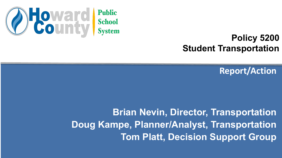

#### **Policy 5200 Student Transportation**

**Report/Action**

**Brian Nevin, Director, Transportation Doug Kampe, Planner/Analyst, Transportation Tom Platt, Decision Support Group**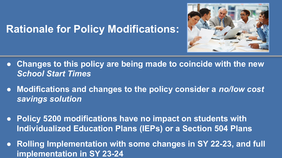

#### **Rationale for Policy Modifications:**

- **● Changes to this policy are being made to coincide with the new**  *School Start Times*
- **● Modifications and changes to the policy consider a** *no/low cost savings solution*
- **● Policy 5200 modifications have no impact on students with Individualized Education Plans (IEPs) or a Section 504 Plans**
- **● Rolling Implementation with some changes in SY 22-23, and full implementation in SY 23-24**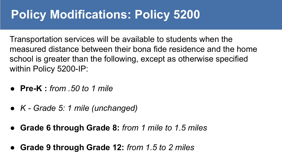Transportation services will be available to students when the measured distance between their bona fide residence and the home school is greater than the following, except as otherwise specified within Policy 5200-IP:

- **Pre-K :** *from .50 to 1 mile*
- *● K Grade 5: 1 mile (unchanged)*
- **Grade 6 through Grade 8:** *from 1 mile to 1.5 miles*
- **Grade 9 through Grade 12:** *from 1.5 to 2 miles*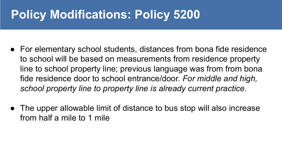- For elementary school students, distances from bona fide residence to school will be based on measurements from residence property line to school property line; previous language was from from bona fide residence door to school entrance/door. *For middle and high, school property line to property line is already current practice.*
- The upper allowable limit of distance to bus stop will also increase from half a mile to 1 mile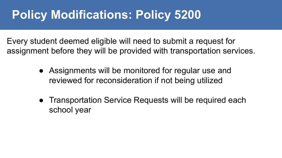Every student deemed eligible will need to submit a request for assignment before they will be provided with transportation services.

- Assignments will be monitored for regular use and reviewed for reconsideration if not being utilized
- Transportation Service Requests will be required each school year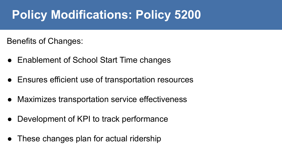Benefits of Changes:

- Enablement of School Start Time changes
- Ensures efficient use of transportation resources
- Maximizes transportation service effectiveness
- Development of KPI to track performance
- These changes plan for actual ridership